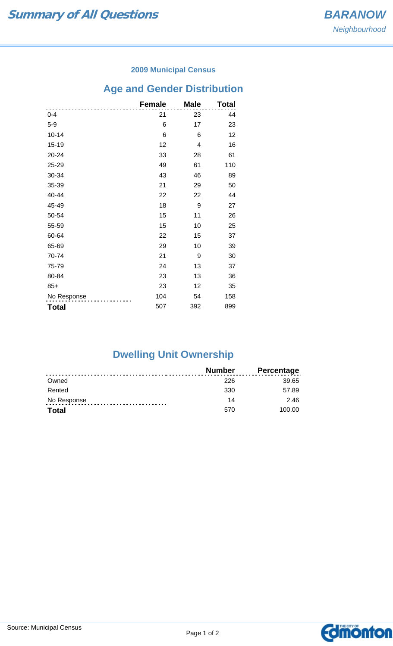### **2009 Municipal Census**

# **Age and Gender Distribution**

|              | <b>Female</b> | <b>Male</b> | Total |
|--------------|---------------|-------------|-------|
| $0 - 4$      | 21            | 23          | 44    |
| $5-9$        | 6             | 17          | 23    |
| $10 - 14$    | 6             | 6           | 12    |
| $15 - 19$    | 12            | 4           | 16    |
| 20-24        | 33            | 28          | 61    |
| 25-29        | 49            | 61          | 110   |
| 30-34        | 43            | 46          | 89    |
| 35-39        | 21            | 29          | 50    |
| 40-44        | 22            | 22          | 44    |
| 45-49        | 18            | 9           | 27    |
| 50-54        | 15            | 11          | 26    |
| 55-59        | 15            | 10          | 25    |
| 60-64        | 22            | 15          | 37    |
| 65-69        | 29            | 10          | 39    |
| 70-74        | 21            | 9           | 30    |
| 75-79        | 24            | 13          | 37    |
| 80-84        | 23            | 13          | 36    |
| $85+$        | 23            | 12          | 35    |
| No Response  | 104           | 54          | 158   |
| <b>Total</b> | 507           | 392         | 899   |

# **Dwelling Unit Ownership**

|              | <b>Number</b> | <b>Percentage</b> |
|--------------|---------------|-------------------|
| Owned        | 226           | 39.65             |
| Rented       | 330           | 57.89             |
| No Response  | 14            | 2.46              |
| <b>Total</b> | 570           | 100.00            |